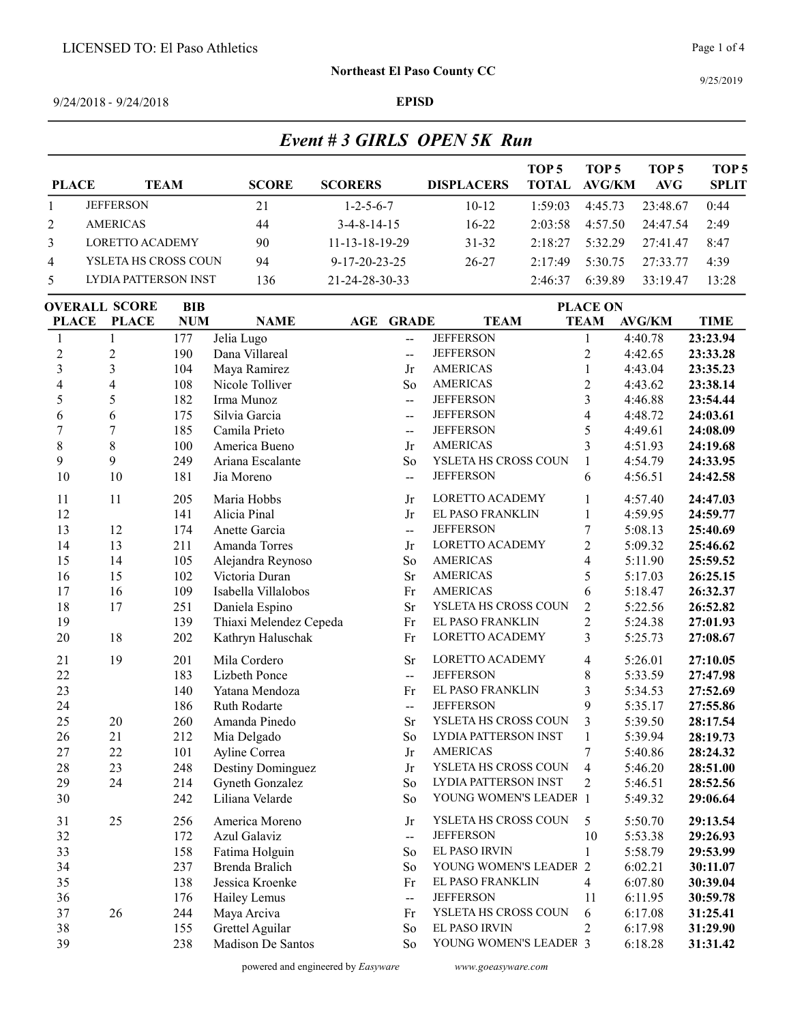#### Northeast El Paso County CC

9/25/2019

9/24/2018 - 9/24/2018 EPISD

Event # 3 GIRLS OPEN 5K Run

| <b>PLACE</b>             |                                      | <b>TEAM</b>              | <b>SCORE</b>                         | <b>SCORERS</b>                      | <b>DISPLACERS</b>                            | TOP <sub>5</sub><br><b>TOTAL</b> | TOP <sub>5</sub><br><b>AVG/KM</b> | TOP <sub>5</sub><br>AVG | TOP <sub>5</sub><br><b>SPLIT</b> |
|--------------------------|--------------------------------------|--------------------------|--------------------------------------|-------------------------------------|----------------------------------------------|----------------------------------|-----------------------------------|-------------------------|----------------------------------|
| $\mathbf{1}$             | <b>JEFFERSON</b>                     |                          | 21                                   | $1 - 2 - 5 - 6 - 7$                 | $10 - 12$                                    | 1:59:03                          | 4:45.73                           | 23:48.67                | 0:44                             |
| 2                        | <b>AMERICAS</b>                      |                          | 44                                   | $3 - 4 - 8 - 14 - 15$               | $16 - 22$                                    | 2:03:58                          | 4:57.50                           | 24:47.54                | 2:49                             |
| 3                        | <b>LORETTO ACADEMY</b>               |                          | 90                                   | 11-13-18-19-29                      | $31 - 32$                                    | 2:18:27                          | 5:32.29                           | 27:41.47                | 8:47                             |
| 4                        | YSLETA HS CROSS COUN                 |                          | 94                                   | 9-17-20-23-25                       | 26-27                                        | 2:17:49                          | 5:30.75                           | 27:33.77                | 4:39                             |
| 5                        | LYDIA PATTERSON INST                 |                          | 136                                  | 21-24-28-30-33                      |                                              | 2:46:37                          | 6:39.89                           | 33:19.47                | 13:28                            |
|                          |                                      |                          |                                      |                                     |                                              |                                  |                                   |                         |                                  |
| <b>PLACE</b>             | <b>OVERALL SCORE</b><br><b>PLACE</b> | <b>BIB</b><br><b>NUM</b> | <b>NAME</b>                          | AGE<br><b>GRADE</b>                 | <b>TEAM</b>                                  |                                  | <b>PLACE ON</b><br><b>TEAM</b>    | <b>AVG/KM</b>           | <b>TIME</b>                      |
| $\mathbf{1}$             | 1                                    | 177                      | Jelia Lugo                           | $\overline{a}$                      | <b>JEFFERSON</b>                             |                                  | 1                                 | 4:40.78                 | 23:23.94                         |
| $\overline{c}$           | $\overline{c}$                       | 190                      | Dana Villareal                       | --                                  | <b>JEFFERSON</b>                             |                                  | $\mathbf{2}$                      | 4:42.65                 | 23:33.28                         |
| $\overline{\mathbf{3}}$  | $\overline{\mathbf{3}}$              | 104                      | Maya Ramirez                         | Jr                                  | <b>AMERICAS</b>                              |                                  | 1                                 | 4:43.04                 | 23:35.23                         |
| $\overline{\mathcal{L}}$ | $\overline{4}$                       | 108                      | Nicole Tolliver                      | So                                  | <b>AMERICAS</b>                              |                                  | $\overline{2}$                    | 4:43.62                 | 23:38.14                         |
| 5                        | 5                                    | 182                      | Irma Munoz                           | --                                  | <b>JEFFERSON</b>                             |                                  | 3                                 | 4:46.88                 | 23:54.44                         |
| 6                        | 6                                    | 175                      | Silvia Garcia                        | $\overline{\phantom{a}}$            | <b>JEFFERSON</b>                             |                                  | $\overline{4}$                    | 4:48.72                 | 24:03.61                         |
| $\sqrt{ }$               | $\overline{7}$                       | 185                      | Camila Prieto                        | $\hspace{0.05cm}$ $\hspace{0.05cm}$ | <b>JEFFERSON</b>                             |                                  | 5                                 | 4:49.61                 | 24:08.09                         |
| 8                        | 8                                    | 100                      | America Bueno                        | Jr                                  | <b>AMERICAS</b>                              |                                  | 3                                 | 4:51.93                 | 24:19.68                         |
| 9                        | 9                                    | 249                      | Ariana Escalante                     | So                                  | YSLETA HS CROSS COUN                         |                                  | $\mathbf{1}$                      | 4:54.79                 | 24:33.95                         |
| 10                       | 10                                   | 181                      | Jia Moreno                           | $\overline{a}$                      | <b>JEFFERSON</b>                             |                                  | 6                                 | 4:56.51                 | 24:42.58                         |
| 11                       | 11                                   | 205                      | Maria Hobbs                          | Jr                                  | LORETTO ACADEMY                              |                                  | 1                                 | 4:57.40                 | 24:47.03                         |
| 12                       |                                      | 141                      | Alicia Pinal                         | Jr                                  | EL PASO FRANKLIN                             |                                  | 1                                 | 4:59.95                 | 24:59.77                         |
| 13                       | 12                                   | 174                      | Anette Garcia                        | --                                  | <b>JEFFERSON</b>                             |                                  | $\boldsymbol{7}$                  | 5:08.13                 | 25:40.69                         |
| 14                       | 13                                   | 211                      | Amanda Torres                        | Jr                                  | LORETTO ACADEMY                              |                                  | $\overline{2}$                    | 5:09.32                 | 25:46.62                         |
| 15                       | 14                                   | 105                      | Alejandra Reynoso                    | So                                  | <b>AMERICAS</b>                              |                                  | $\overline{4}$                    | 5:11.90                 | 25:59.52                         |
| 16                       | 15                                   | 102                      | Victoria Duran                       | <b>Sr</b>                           | <b>AMERICAS</b>                              |                                  | 5                                 | 5:17.03                 | 26:25.15                         |
| 17                       | 16                                   | 109                      | Isabella Villalobos                  | Fr                                  | <b>AMERICAS</b>                              |                                  | 6                                 | 5:18.47                 | 26:32.37                         |
| 18                       | 17                                   | 251                      | Daniela Espino                       | <b>Sr</b>                           | YSLETA HS CROSS COUN                         |                                  | $\overline{2}$                    | 5:22.56                 | 26:52.82                         |
| 19                       |                                      | 139                      | Thiaxi Melendez Cepeda               | Fr                                  | EL PASO FRANKLIN                             |                                  | $\overline{c}$                    | 5:24.38                 | 27:01.93                         |
| 20                       | 18                                   | 202                      | Kathryn Haluschak                    | Fr                                  | LORETTO ACADEMY                              |                                  | 3                                 | 5:25.73                 | 27:08.67                         |
| 21                       | 19                                   | 201                      | Mila Cordero                         | Sr                                  | LORETTO ACADEMY                              |                                  | $\overline{4}$                    | 5:26.01                 | 27:10.05                         |
| 22                       |                                      | 183                      | Lizbeth Ponce                        | ш.,                                 | <b>JEFFERSON</b>                             |                                  | 8                                 | 5:33.59                 | 27:47.98                         |
| 23                       |                                      | 140                      | Yatana Mendoza                       | Fr                                  | EL PASO FRANKLIN                             |                                  | 3                                 | 5:34.53                 | 27:52.69                         |
| 24                       |                                      | 186                      | Ruth Rodarte                         | --                                  | <b>JEFFERSON</b>                             |                                  | 9                                 | 5:35.17                 | 27:55.86                         |
| 25                       | 20                                   | 260                      | Amanda Pinedo                        | <b>Sr</b>                           | YSLETA HS CROSS COUN                         |                                  | 3                                 | 5:39.50                 | 28:17.54                         |
| 26                       | 21                                   | 212                      | Mia Delgado                          | So                                  | LYDIA PATTERSON INST                         |                                  |                                   | 5:39.94                 | 28:19.73                         |
| 27                       | 22                                   | 101                      | Ayline Correa                        | Jr                                  | <b>AMERICAS</b>                              |                                  | 7                                 | 5:40.86                 | 28:24.32                         |
| 28                       | 23                                   | 248                      | Destiny Dominguez                    | Jr                                  | YSLETA HS CROSS COUN<br>LYDIA PATTERSON INST |                                  | 4                                 | 5:46.20                 | 28:51.00                         |
| 29<br>30                 | 24                                   | 214<br>242               | Gyneth Gonzalez<br>Liliana Velarde   | So<br>So                            | YOUNG WOMEN'S LEADER 1                       |                                  | 2                                 | 5:46.51<br>5:49.32      | 28:52.56<br>29:06.64             |
|                          |                                      |                          |                                      |                                     |                                              |                                  |                                   |                         |                                  |
| 31                       | 25                                   | 256                      | America Moreno                       | Jr                                  | YSLETA HS CROSS COUN                         |                                  | 5                                 | 5:50.70                 | 29:13.54                         |
| 32                       |                                      | 172                      | Azul Galaviz                         | $\overline{\phantom{a}}$            | <b>JEFFERSON</b>                             |                                  | 10                                | 5:53.38                 | 29:26.93                         |
| 33                       |                                      | 158                      | Fatima Holguin                       | So                                  | EL PASO IRVIN                                |                                  | 1                                 | 5:58.79                 | 29:53.99                         |
| 34                       |                                      | 237                      | Brenda Bralich                       | So                                  | YOUNG WOMEN'S LEADER 2                       |                                  |                                   | 6:02.21                 | 30:11.07                         |
| 35                       |                                      | 138                      | Jessica Kroenke                      | Fr                                  | EL PASO FRANKLIN                             |                                  | 4                                 | 6:07.80                 | 30:39.04                         |
| 36                       |                                      | 176                      | Hailey Lemus                         | --                                  | <b>JEFFERSON</b>                             |                                  | 11                                | 6:11.95                 | 30:59.78                         |
| 37                       | 26                                   | 244                      | Maya Arciva                          | Fr                                  | YSLETA HS CROSS COUN                         |                                  | 6                                 | 6:17.08                 | 31:25.41                         |
| 38<br>39                 |                                      | 155<br>238               | Grettel Aguilar<br>Madison De Santos | So<br>So                            | EL PASO IRVIN<br>YOUNG WOMEN'S LEADER 3      |                                  | 2                                 | 6:17.98                 | 31:29.90                         |
|                          |                                      |                          |                                      |                                     |                                              |                                  |                                   | 6:18.28                 | 31:31.42                         |

### powered and engineered by Easyware www.goeasyware.com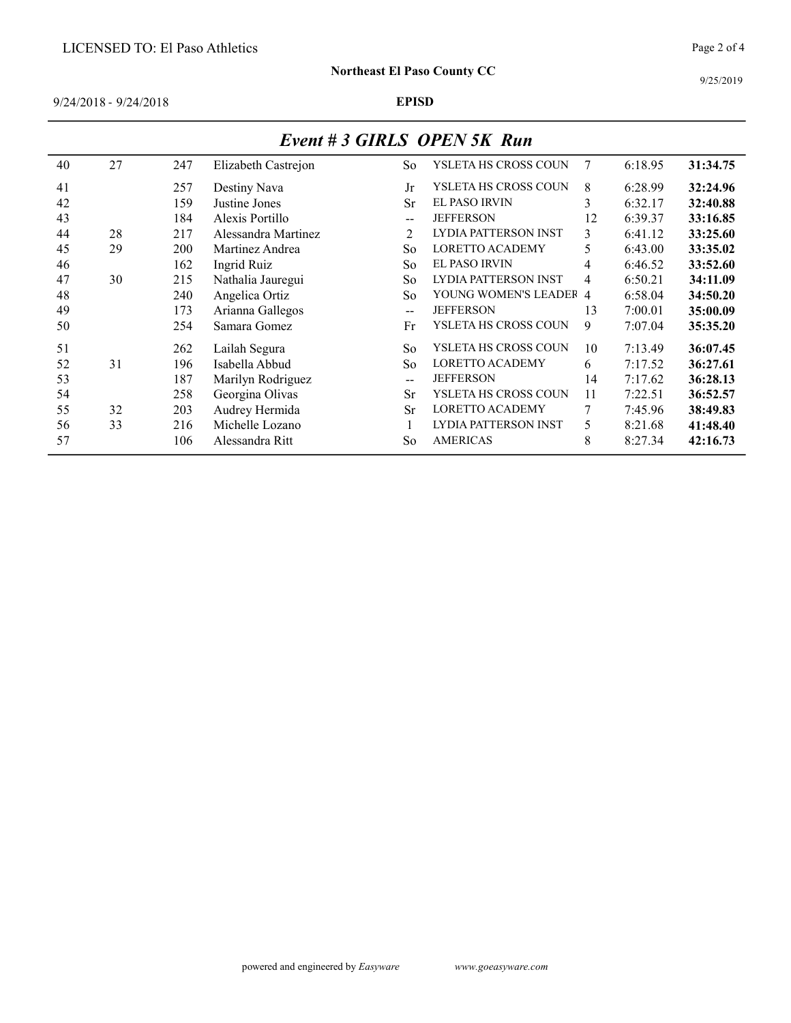9/25/2019

9/24/2018 - 9/24/2018 EPISD

|    |    |     |                     |                          | $L$ veni $\pi$ 3 MKLS VI LIV JA Nun |    |         |          |
|----|----|-----|---------------------|--------------------------|-------------------------------------|----|---------|----------|
| 40 | 27 | 247 | Elizabeth Castrejon | So                       | YSLETA HS CROSS COUN                | 7  | 6:18.95 | 31:34.75 |
| 41 |    | 257 | Destiny Nava        | Jr                       | YSLETA HS CROSS COUN                | 8  | 6:28.99 | 32:24.96 |
| 42 |    | 159 | Justine Jones       | <b>Sr</b>                | <b>EL PASO IRVIN</b>                | 3  | 6:32.17 | 32:40.88 |
| 43 |    | 184 | Alexis Portillo     | $\qquad \qquad \qquad -$ | <b>JEFFERSON</b>                    | 12 | 6:39.37 | 33:16.85 |
| 44 | 28 | 217 | Alessandra Martinez | 2                        | LYDIA PATTERSON INST                | 3  | 6:41.12 | 33:25.60 |
| 45 | 29 | 200 | Martinez Andrea     | So                       | <b>LORETTO ACADEMY</b>              | 5. | 6:43.00 | 33:35.02 |
| 46 |    | 162 | <b>Ingrid Ruiz</b>  | So                       | <b>EL PASO IRVIN</b>                | 4  | 6:46.52 | 33:52.60 |
| 47 | 30 | 215 | Nathalia Jauregui   | So                       | LYDIA PATTERSON INST                | 4  | 6:50.21 | 34:11.09 |
| 48 |    | 240 | Angelica Ortiz      | So                       | YOUNG WOMEN'S LEADER 4              |    | 6:58.04 | 34:50.20 |
| 49 |    | 173 | Arianna Gallegos    | $-$                      | <b>JEFFERSON</b>                    | 13 | 7:00.01 | 35:00.09 |
| 50 |    | 254 | Samara Gomez        | Fr                       | YSLETA HS CROSS COUN                | 9  | 7:07.04 | 35:35.20 |
| 51 |    | 262 | Lailah Segura       | So                       | YSLETA HS CROSS COUN                | 10 | 7:13.49 | 36:07.45 |
| 52 | 31 | 196 | Isabella Abbud      | So                       | <b>LORETTO ACADEMY</b>              | 6  | 7:17.52 | 36:27.61 |
| 53 |    | 187 | Marilyn Rodriguez   | $-$                      | <b>JEFFERSON</b>                    | 14 | 7:17.62 | 36:28.13 |
| 54 |    | 258 | Georgina Olivas     | <b>Sr</b>                | YSLETA HS CROSS COUN                | 11 | 7:22.51 | 36:52.57 |
| 55 | 32 | 203 | Audrey Hermida      | <b>Sr</b>                | <b>LORETTO ACADEMY</b>              |    | 7:45.96 | 38:49.83 |
| 56 | 33 | 216 | Michelle Lozano     |                          | LYDIA PATTERSON INST                | 5  | 8:21.68 | 41:48.40 |
| 57 |    | 106 | Alessandra Ritt     | So                       | <b>AMERICAS</b>                     | 8  | 8:27.34 | 42:16.73 |
|    |    |     |                     |                          |                                     |    |         |          |

### Event # 3 GIRLS OPEN 5K Run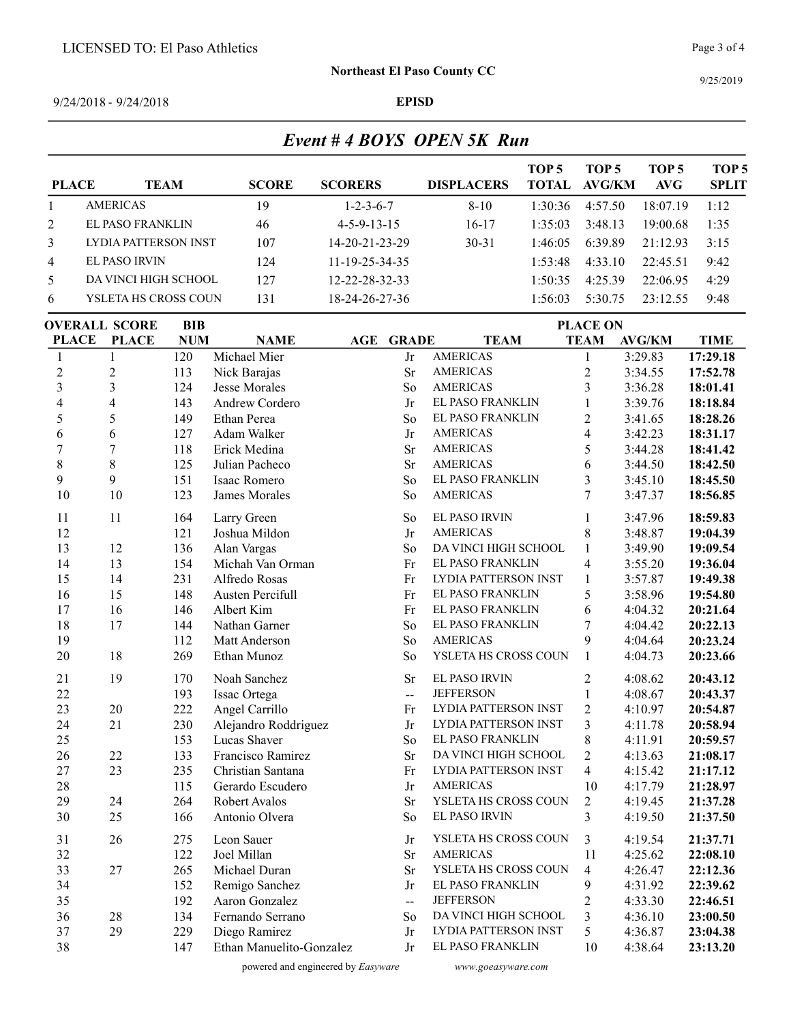#### Northeast El Paso County CC

9/25/2019

#### 9/24/2018 - 9/24/2018 EPISD

|  | Event # 4 BOYS OPEN 5K Run |
|--|----------------------------|
|--|----------------------------|

|                |                      |              |                          |                   | TOP 5        | TOP 5   | TOP 5    | TOP 5        |
|----------------|----------------------|--------------|--------------------------|-------------------|--------------|---------|----------|--------------|
| <b>PLACE</b>   | TEAM                 | <b>SCORE</b> | <b>SCORERS</b>           | <b>DISPLACERS</b> | <b>TOTAL</b> | AVG/KM  | AVG      | <b>SPLIT</b> |
|                | <b>AMERICAS</b>      | 19           | $1 - 2 - 3 - 6 - 7$      | $8 - 10$          | 1.30.36      | 4:57.50 | 18:07.19 | 1.12         |
| $\overline{2}$ | EL PASO FRANKLIN     | 46           | $4 - 5 - 9 - 13 - 15$    | $16-17$           | 1.35.03      | 3:48.13 | 19:00.68 | 1:35         |
| $\mathcal{R}$  | LYDIA PATTERSON INST | 107          | 14-20-21-23-29           | $30 - 31$         | 1.46.05      | 6:39.89 | 21.1293  | 3:15         |
| 4              | EL PASO IRVIN        | 124          | $11 - 19 - 25 - 34 - 35$ |                   | 1.53.48      | 4:33.10 | 22:45.51 | 9:42         |
| 5              | DA VINCI HIGH SCHOOL | 127          | $12 - 22 - 28 - 32 - 33$ |                   | 1.50.35      | 4.2539  | 22:0695  | 4:29         |
| 6              | YSLETA HS CROSS COUN | 131          | 18-24-26-27-36           |                   | 1:56:03      | 5.3075  | 23.12.55 | 9:48         |

| <b>OVERALL SCORE</b>    |                                                                                                           |                                                                                                       |                                                                                                                                                                                                                |                                 |                                                                                   | <b>PLACE ON</b>                                                                                                                                                                                                   |                                                                                                                                                                                                                                                                                                                                                   |                                                                                                                                  |  |
|-------------------------|-----------------------------------------------------------------------------------------------------------|-------------------------------------------------------------------------------------------------------|----------------------------------------------------------------------------------------------------------------------------------------------------------------------------------------------------------------|---------------------------------|-----------------------------------------------------------------------------------|-------------------------------------------------------------------------------------------------------------------------------------------------------------------------------------------------------------------|---------------------------------------------------------------------------------------------------------------------------------------------------------------------------------------------------------------------------------------------------------------------------------------------------------------------------------------------------|----------------------------------------------------------------------------------------------------------------------------------|--|
| <b>PLACE</b>            |                                                                                                           | <b>NAME</b>                                                                                           |                                                                                                                                                                                                                |                                 | <b>TEAM</b>                                                                       | <b>TEAM</b>                                                                                                                                                                                                       | <b>AVG/KM</b>                                                                                                                                                                                                                                                                                                                                     | <b>TIME</b>                                                                                                                      |  |
| $\mathbf{1}$            | 120                                                                                                       | Michael Mier                                                                                          |                                                                                                                                                                                                                | Jr                              | <b>AMERICAS</b>                                                                   | $\mathbf{1}$                                                                                                                                                                                                      | 3:29.83                                                                                                                                                                                                                                                                                                                                           | 17:29.18                                                                                                                         |  |
| $\overline{c}$          | 113                                                                                                       | Nick Barajas                                                                                          |                                                                                                                                                                                                                | <b>Sr</b>                       | <b>AMERICAS</b>                                                                   | $\overline{c}$                                                                                                                                                                                                    | 3:34.55                                                                                                                                                                                                                                                                                                                                           | 17:52.78                                                                                                                         |  |
|                         | 124                                                                                                       | <b>Jesse Morales</b>                                                                                  |                                                                                                                                                                                                                | So                              | <b>AMERICAS</b>                                                                   | $\overline{\mathbf{3}}$                                                                                                                                                                                           | 3:36.28                                                                                                                                                                                                                                                                                                                                           | 18:01.41                                                                                                                         |  |
| $\overline{\mathbf{4}}$ | 143                                                                                                       | Andrew Cordero                                                                                        |                                                                                                                                                                                                                | Jr                              | EL PASO FRANKLIN                                                                  | $\mathbf{1}$                                                                                                                                                                                                      | 3:39.76                                                                                                                                                                                                                                                                                                                                           | 18:18.84                                                                                                                         |  |
| 5                       | 149                                                                                                       | Ethan Perea                                                                                           |                                                                                                                                                                                                                | So                              | EL PASO FRANKLIN                                                                  | $\overline{2}$                                                                                                                                                                                                    | 3:41.65                                                                                                                                                                                                                                                                                                                                           | 18:28.26                                                                                                                         |  |
| 6                       | 127                                                                                                       | Adam Walker                                                                                           |                                                                                                                                                                                                                | Jr                              | <b>AMERICAS</b>                                                                   | $\overline{\mathbf{4}}$                                                                                                                                                                                           | 3:42.23                                                                                                                                                                                                                                                                                                                                           | 18:31.17                                                                                                                         |  |
| $\overline{7}$          | 118                                                                                                       | Erick Medina                                                                                          |                                                                                                                                                                                                                | Sr                              | <b>AMERICAS</b>                                                                   | 5                                                                                                                                                                                                                 | 3:44.28                                                                                                                                                                                                                                                                                                                                           | 18:41.42                                                                                                                         |  |
|                         | 125                                                                                                       | Julian Pacheco                                                                                        |                                                                                                                                                                                                                | Sr                              | <b>AMERICAS</b>                                                                   | 6                                                                                                                                                                                                                 |                                                                                                                                                                                                                                                                                                                                                   | 18:42.50                                                                                                                         |  |
|                         |                                                                                                           | Isaac Romero                                                                                          |                                                                                                                                                                                                                | So                              |                                                                                   | $\overline{\mathbf{3}}$                                                                                                                                                                                           | 3:45.10                                                                                                                                                                                                                                                                                                                                           | 18:45.50                                                                                                                         |  |
|                         | 123                                                                                                       | James Morales                                                                                         |                                                                                                                                                                                                                | So                              | <b>AMERICAS</b>                                                                   | 7                                                                                                                                                                                                                 | 3:47.37                                                                                                                                                                                                                                                                                                                                           | 18:56.85                                                                                                                         |  |
| 11                      | 164                                                                                                       | Larry Green                                                                                           |                                                                                                                                                                                                                | So                              | EL PASO IRVIN                                                                     | $\mathbf{1}$                                                                                                                                                                                                      | 3:47.96                                                                                                                                                                                                                                                                                                                                           | 18:59.83                                                                                                                         |  |
|                         |                                                                                                           |                                                                                                       |                                                                                                                                                                                                                |                                 | <b>AMERICAS</b>                                                                   |                                                                                                                                                                                                                   |                                                                                                                                                                                                                                                                                                                                                   | 19:04.39                                                                                                                         |  |
|                         |                                                                                                           |                                                                                                       |                                                                                                                                                                                                                |                                 |                                                                                   |                                                                                                                                                                                                                   |                                                                                                                                                                                                                                                                                                                                                   | 19:09.54                                                                                                                         |  |
|                         |                                                                                                           |                                                                                                       |                                                                                                                                                                                                                |                                 | EL PASO FRANKLIN                                                                  |                                                                                                                                                                                                                   |                                                                                                                                                                                                                                                                                                                                                   | 19:36.04                                                                                                                         |  |
|                         |                                                                                                           |                                                                                                       |                                                                                                                                                                                                                |                                 |                                                                                   |                                                                                                                                                                                                                   |                                                                                                                                                                                                                                                                                                                                                   | 19:49.38                                                                                                                         |  |
|                         |                                                                                                           |                                                                                                       |                                                                                                                                                                                                                |                                 |                                                                                   |                                                                                                                                                                                                                   |                                                                                                                                                                                                                                                                                                                                                   | 19:54.80                                                                                                                         |  |
|                         |                                                                                                           |                                                                                                       |                                                                                                                                                                                                                |                                 | EL PASO FRANKLIN                                                                  |                                                                                                                                                                                                                   |                                                                                                                                                                                                                                                                                                                                                   | 20:21.64                                                                                                                         |  |
|                         |                                                                                                           | Nathan Garner                                                                                         |                                                                                                                                                                                                                |                                 |                                                                                   |                                                                                                                                                                                                                   |                                                                                                                                                                                                                                                                                                                                                   | 20:22.13                                                                                                                         |  |
|                         |                                                                                                           |                                                                                                       |                                                                                                                                                                                                                |                                 | <b>AMERICAS</b>                                                                   |                                                                                                                                                                                                                   |                                                                                                                                                                                                                                                                                                                                                   | 20:23.24                                                                                                                         |  |
|                         |                                                                                                           |                                                                                                       |                                                                                                                                                                                                                |                                 |                                                                                   | $\mathbf{1}$                                                                                                                                                                                                      |                                                                                                                                                                                                                                                                                                                                                   | 20:23.66                                                                                                                         |  |
| 19                      | 170                                                                                                       | Noah Sanchez                                                                                          |                                                                                                                                                                                                                | <b>Sr</b>                       | EL PASO IRVIN                                                                     | $\overline{2}$                                                                                                                                                                                                    | 4:08.62                                                                                                                                                                                                                                                                                                                                           | 20:43.12                                                                                                                         |  |
|                         | 193                                                                                                       | Issac Ortega                                                                                          |                                                                                                                                                                                                                | L.                              | <b>JEFFERSON</b>                                                                  | $\mathbf{1}$                                                                                                                                                                                                      | 4:08.67                                                                                                                                                                                                                                                                                                                                           | 20:43.37                                                                                                                         |  |
| 20                      | 222                                                                                                       | Angel Carrillo                                                                                        |                                                                                                                                                                                                                | Fr                              |                                                                                   | $\overline{c}$                                                                                                                                                                                                    | 4:10.97                                                                                                                                                                                                                                                                                                                                           | 20:54.87                                                                                                                         |  |
|                         |                                                                                                           |                                                                                                       |                                                                                                                                                                                                                | Jr                              |                                                                                   |                                                                                                                                                                                                                   | 4:11.78                                                                                                                                                                                                                                                                                                                                           | 20:58.94                                                                                                                         |  |
|                         | 153                                                                                                       | Lucas Shaver                                                                                          |                                                                                                                                                                                                                | So                              | EL PASO FRANKLIN                                                                  |                                                                                                                                                                                                                   | 4:11.91                                                                                                                                                                                                                                                                                                                                           | 20:59.57                                                                                                                         |  |
| 22                      | 133                                                                                                       | Francisco Ramirez                                                                                     |                                                                                                                                                                                                                | <b>Sr</b>                       |                                                                                   | $\overline{2}$                                                                                                                                                                                                    | 4:13.63                                                                                                                                                                                                                                                                                                                                           | 21:08.17                                                                                                                         |  |
|                         | 235                                                                                                       | Christian Santana                                                                                     |                                                                                                                                                                                                                | Fr                              |                                                                                   |                                                                                                                                                                                                                   | 4:15.42                                                                                                                                                                                                                                                                                                                                           | 21:17.12                                                                                                                         |  |
|                         |                                                                                                           |                                                                                                       |                                                                                                                                                                                                                |                                 | <b>AMERICAS</b>                                                                   |                                                                                                                                                                                                                   |                                                                                                                                                                                                                                                                                                                                                   | 21:28.97                                                                                                                         |  |
|                         |                                                                                                           |                                                                                                       |                                                                                                                                                                                                                |                                 |                                                                                   |                                                                                                                                                                                                                   |                                                                                                                                                                                                                                                                                                                                                   | 21:37.28                                                                                                                         |  |
|                         | 166                                                                                                       | Antonio Olvera                                                                                        |                                                                                                                                                                                                                | So                              |                                                                                   |                                                                                                                                                                                                                   | 4:19.50                                                                                                                                                                                                                                                                                                                                           | 21:37.50                                                                                                                         |  |
| 26                      | 275                                                                                                       | Leon Sauer                                                                                            |                                                                                                                                                                                                                | Jr                              |                                                                                   | 3                                                                                                                                                                                                                 | 4:19.54                                                                                                                                                                                                                                                                                                                                           | 21:37.71                                                                                                                         |  |
|                         | 122                                                                                                       | Joel Millan                                                                                           |                                                                                                                                                                                                                | <b>Sr</b>                       | <b>AMERICAS</b>                                                                   | 11                                                                                                                                                                                                                | 4:25.62                                                                                                                                                                                                                                                                                                                                           | 22:08.10                                                                                                                         |  |
| 27                      | 265                                                                                                       | Michael Duran                                                                                         |                                                                                                                                                                                                                | Sr                              |                                                                                   | $\overline{4}$                                                                                                                                                                                                    | 4:26.47                                                                                                                                                                                                                                                                                                                                           | 22:12.36                                                                                                                         |  |
|                         | 152                                                                                                       | Remigo Sanchez                                                                                        |                                                                                                                                                                                                                | Jr                              | EL PASO FRANKLIN                                                                  | 9                                                                                                                                                                                                                 | 4:31.92                                                                                                                                                                                                                                                                                                                                           | 22:39.62                                                                                                                         |  |
|                         | 192                                                                                                       | Aaron Gonzalez                                                                                        |                                                                                                                                                                                                                | u.                              | <b>JEFFERSON</b>                                                                  | $\overline{c}$                                                                                                                                                                                                    | 4:33.30                                                                                                                                                                                                                                                                                                                                           | 22:46.51                                                                                                                         |  |
| 28                      | 134                                                                                                       | Fernando Serrano                                                                                      |                                                                                                                                                                                                                | So                              |                                                                                   | $\overline{\mathbf{3}}$                                                                                                                                                                                           | 4:36.10                                                                                                                                                                                                                                                                                                                                           | 23:00.50                                                                                                                         |  |
| 29                      | 229                                                                                                       | Diego Ramirez                                                                                         |                                                                                                                                                                                                                | Jr                              |                                                                                   | 5                                                                                                                                                                                                                 | 4:36.87                                                                                                                                                                                                                                                                                                                                           | 23:04.38                                                                                                                         |  |
|                         | 147                                                                                                       |                                                                                                       |                                                                                                                                                                                                                | Jr                              | EL PASO FRANKLIN                                                                  | 10                                                                                                                                                                                                                | 4:38.64                                                                                                                                                                                                                                                                                                                                           | 23:13.20                                                                                                                         |  |
|                         | $\overline{\mathbf{3}}$<br>8<br>9<br>10<br>12<br>13<br>14<br>15<br>16<br>17<br>18<br>21<br>23<br>24<br>25 | <b>BIB</b><br>151<br>121<br>136<br>154<br>231<br>148<br>146<br>144<br>112<br>269<br>230<br>115<br>264 | <b>NUM</b><br>Joshua Mildon<br>Alan Vargas<br>Michah Van Orman<br>Alfredo Rosas<br>Austen Percifull<br>Albert Kim<br>Matt Anderson<br>Ethan Munoz<br>Alejandro Roddriguez<br>Gerardo Escudero<br>Robert Avalos | AGE<br>Ethan Manuelito-Gonzalez | Jr<br>So<br>Fr<br>Fr<br>Fr<br>Fr<br>S <sub>o</sub><br>So<br>So<br>Jr<br><b>Sr</b> | <b>GRADE</b><br>EL PASO FRANKLIN<br>LYDIA PATTERSON INST<br>EL PASO FRANKLIN<br>EL PASO FRANKLIN<br>LYDIA PATTERSON INST<br>LYDIA PATTERSON INST<br>LYDIA PATTERSON INST<br>EL PASO IRVIN<br>LYDIA PATTERSON INST | 8<br>$\,1$<br>DA VINCI HIGH SCHOOL<br>$\overline{4}$<br>$\mathbf{1}$<br>5<br>6<br>$\overline{7}$<br>9<br>YSLETA HS CROSS COUN<br>$\overline{\mathbf{3}}$<br>8<br>DA VINCI HIGH SCHOOL<br>$\overline{4}$<br>10<br>$\overline{c}$<br>YSLETA HS CROSS COUN<br>$\overline{3}$<br>YSLETA HS CROSS COUN<br>YSLETA HS CROSS COUN<br>DA VINCI HIGH SCHOOL | 3:44.50<br>3:48.87<br>3:49.90<br>3:55.20<br>3:57.87<br>3:58.96<br>4:04.32<br>4:04.42<br>4:04.64<br>4:04.73<br>4:17.79<br>4:19.45 |  |

powered and engineered by Easyware www.goeasyware.com